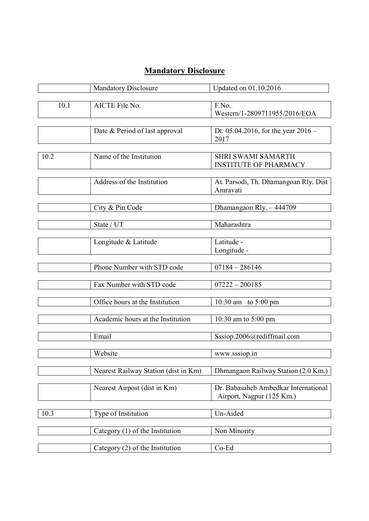## **Mandatory Disclosure**

|      | <b>Mandatory Disclosure</b>          | Updated on 01.10.2016                             |
|------|--------------------------------------|---------------------------------------------------|
|      |                                      |                                                   |
| 10.1 | AICTE File No.                       | F.No.                                             |
|      |                                      | Western/1-2809711955/2016/EOA                     |
|      |                                      |                                                   |
|      | Date & Period of last approval       | Dt. 05.04.2016, for the year $2016 -$             |
|      |                                      | 2017                                              |
|      |                                      |                                                   |
| 10.2 | Name of the Institution              | <b>SHRI SWAMI SAMARTH</b>                         |
|      |                                      | <b>INSTITUTE OF PHARMACY</b>                      |
|      | Address of the Institution           |                                                   |
|      |                                      | At. Parsodi, Th. Dhamangoan Rly. Dist<br>Amravati |
|      |                                      |                                                   |
|      | City & Pin Code                      |                                                   |
|      |                                      | Dhamangaon Rly. - 444709                          |
|      | State / UT                           | Maharashtra                                       |
|      |                                      |                                                   |
|      | Longitude & Latitude                 | Latitude -                                        |
|      |                                      | Longitude -                                       |
|      |                                      |                                                   |
|      | Phone Number with STD code           | $07184 - 286146$                                  |
|      |                                      |                                                   |
|      | Fax Number with STD code             | $07222 - 200185$                                  |
|      |                                      |                                                   |
|      | Office hours at the Institution      | 10:30 am to $5:00 \text{ pm}$                     |
|      |                                      |                                                   |
|      | Academic hours at the Institution    | 10:30 am to 5:00 pm                               |
|      |                                      |                                                   |
|      | Email                                | Sssiop.2006@rediffmail.com                        |
|      |                                      |                                                   |
|      | Website                              | www.sssiop.in                                     |
|      |                                      |                                                   |
|      | Nearest Railway Station (dist in Km) | Dhmangaon Railway Station (2.0 Km.)               |
|      |                                      |                                                   |
|      | Nearest Airpost (dist in Km)         | Dr. Babasaheb Ambedkar International              |
|      |                                      | Airport, Nagpur (125 Km.)                         |
|      |                                      |                                                   |
| 10.3 | Type of Institution                  | Un-Aided                                          |
|      |                                      |                                                   |
|      | Category $(1)$ of the Institution    | Non Minority                                      |
|      |                                      |                                                   |
|      | Category (2) of the Institution      | Co-Ed                                             |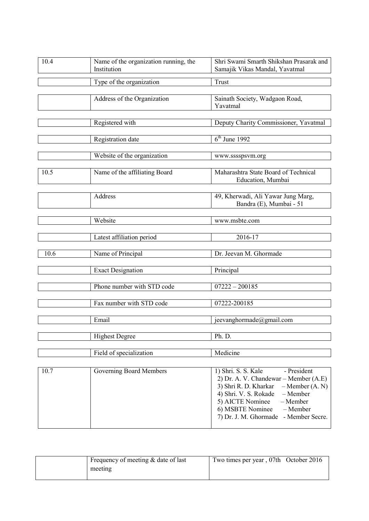| 10.4 | Name of the organization running, the<br>Institution | Shri Swami Smarth Shikshan Prasarak and<br>Samajik Vikas Mandal, Yavatmal |
|------|------------------------------------------------------|---------------------------------------------------------------------------|
|      | Type of the organization                             | Trust                                                                     |
|      | Address of the Organization                          | Sainath Society, Wadgaon Road,<br>Yavatmal                                |
|      | Registered with                                      | Deputy Charity Commissioner, Yavatmal                                     |
|      | Registration date                                    | $6th$ June 1992                                                           |
|      | Website of the organization                          | www.sssspsvm.org                                                          |
| 10.5 | Name of the affiliating Board                        | Maharashtra State Board of Technical<br>Education, Mumbai                 |
|      | Address                                              | 49, Kherwadi, Ali Yawar Jung Marg,<br>Bandra (E), Mumbai - 51             |
|      | Website                                              | www.msbte.com                                                             |
|      | Latest affiliation period                            | 2016-17                                                                   |
| 10.6 | Name of Principal                                    | Dr. Jeevan M. Ghormade                                                    |
|      | <b>Exact Designation</b>                             | Principal                                                                 |
|      | Phone number with STD code                           | $07222 - 200185$                                                          |
|      | Fax number with STD code                             | 07222-200185                                                              |
|      | Email                                                | jeevanghormade@gmail.com                                                  |
|      | <b>Highest Degree</b>                                | Ph. D.                                                                    |
|      | Field of specialization                              | Medicine                                                                  |
| 10.7 | Governing Board Members                              | 1) Shri. S. S. Kale<br>- President<br>(1.5)                               |

| l 10.7 | Governing Board Members | 1) Shri. S. S. Kale                       | - President |
|--------|-------------------------|-------------------------------------------|-------------|
|        |                         | 2) Dr. A. V. Chandewar – Member $(A.E)$   |             |
|        |                         | 3) Shri R. D. Kharkar $-M$ ember $(A, N)$ |             |
|        |                         | 4) Shri. V. S. Rokade $-Member$           |             |
|        |                         | $5)$ AICTE Nominee $-$ Member             |             |
|        |                         | 6) MSBTE Nominee $-Member$                |             |
|        |                         | 7) Dr. J. M. Ghormade - Member Secre.     |             |
|        |                         |                                           |             |

|  | Frequency of meeting & date of last<br>meeting | Two times per year, 07th October 2016 |  |
|--|------------------------------------------------|---------------------------------------|--|
|--|------------------------------------------------|---------------------------------------|--|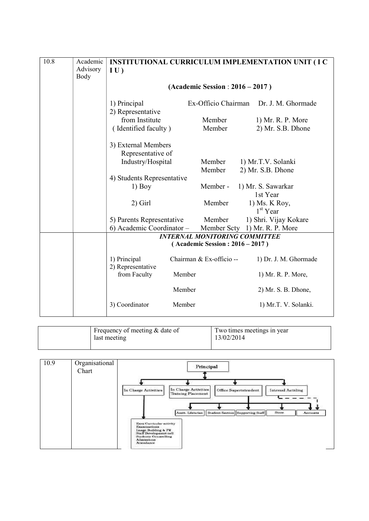| 10.8 | Academic         |                                   | <b>INSTITUTIONAL CURRICULUM IMPLEMENTATION UNIT (IC)</b> |
|------|------------------|-----------------------------------|----------------------------------------------------------|
|      | Advisory<br>Body | IU)                               |                                                          |
|      |                  |                                   | $(Academic Session : 2016 - 2017)$                       |
|      |                  |                                   |                                                          |
|      |                  | 1) Principal                      | Ex-Officio Chairman Dr. J. M. Ghormade                   |
|      |                  | 2) Representative                 |                                                          |
|      |                  | from Institute                    | Member<br>1) Mr. R. P. More                              |
|      |                  | (Identified faculty)              | Member<br>2) Mr. S.B. Dhone                              |
|      |                  | 3) External Members               |                                                          |
|      |                  | Representative of                 |                                                          |
|      |                  | Industry/Hospital                 | Member<br>1) Mr.T.V. Solanki                             |
|      |                  |                                   | Member<br>2) Mr. S.B. Dhone                              |
|      |                  | 4) Students Representative        |                                                          |
|      |                  | $1)$ Boy                          | Member-<br>1) Mr. S. Sawarkar                            |
|      |                  |                                   | 1st Year                                                 |
|      |                  | $2)$ Girl                         | Member<br>1) Ms. K Roy,<br>$1st$ Year                    |
|      |                  | 5) Parents Representative         | 1) Shri. Vijay Kokare<br>Member                          |
|      |                  | 6) Academic Coordinator -         | Member Scty 1) Mr. R. P. More                            |
|      |                  |                                   | <b>INTERNAL MONITORING COMMITTEE</b>                     |
|      |                  |                                   | (Academic Session: 2016 – 2017)                          |
|      |                  | 1) Principal<br>2) Representative | Chairman & Ex-officio --<br>1) Dr. J. M. Ghormade        |
|      |                  | from Faculty<br>Member            | 1) Mr. R. P. More,                                       |
|      |                  | Member                            | 2) Mr. S. B. Dhone,                                      |
|      |                  | 3) Coordinator<br>Member          | 1) Mr.T. V. Solanki.                                     |

| Frequency of meeting $&$ date of<br>last meeting | Two times meetings in year<br>13/02/2014 |
|--------------------------------------------------|------------------------------------------|
|                                                  |                                          |

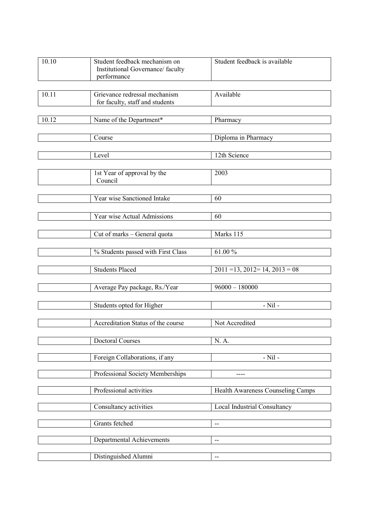| 10.10 | Student feedback mechanism on<br>Institutional Governance/faculty<br>performance | Student feedback is available           |
|-------|----------------------------------------------------------------------------------|-----------------------------------------|
| 10.11 | Grievance redressal mechanism<br>for faculty, staff and students                 | Available                               |
| 10.12 | Name of the Department*                                                          | Pharmacy                                |
|       | Course                                                                           | Diploma in Pharmacy                     |
|       | Level                                                                            | 12th Science                            |
|       | 1st Year of approval by the<br>Council                                           | 2003                                    |
|       | Year wise Sanctioned Intake                                                      | 60                                      |
|       | Year wise Actual Admissions                                                      | 60                                      |
|       | Cut of marks - General quota                                                     | Marks 115                               |
|       | % Students passed with First Class                                               | 61.00%                                  |
|       | <b>Students Placed</b>                                                           | $2011 = 13$ , $2012 = 14$ , $2013 = 08$ |
|       | Average Pay package, Rs./Year                                                    | $96000 - 180000$                        |
|       | Students opted for Higher                                                        | $-Nil$ -                                |
|       | Accreditation Status of the course                                               | Not Accredited                          |
|       | <b>Doctoral Courses</b>                                                          | N. A.                                   |
|       | Foreign Collaborations, if any                                                   | $-Nil -$                                |
|       | Professional Society Memberships                                                 |                                         |
|       | Professional activities                                                          | Health Awareness Counseling Camps       |
|       | Consultancy activities                                                           | Local Industrial Consultancy            |
|       | Grants fetched                                                                   | $\hspace{0.05cm} \dashv$                |
|       | <b>Departmental Achievements</b>                                                 | --                                      |
|       | Distinguished Alumni                                                             | $\overline{\phantom{a}}$                |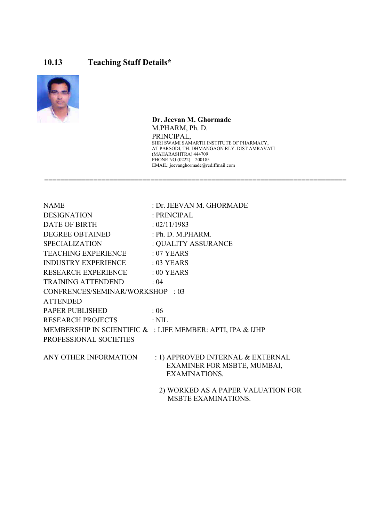## 10.13 Teaching Staff Details\*



 Dr. Jeevan M. Ghormade M.PHARM, Ph. D. PRINCIPAL, SHRI SWAMI SAMARTH INSTITUTE OF PHARMACY, AT PARSODI, TH. DHMANGAON RLY. DIST AMRAVATI (MAHARASHTRA) 444709 PHONE NO (0222) – 200185 EMAIL: jeevanghormade@rediffmail.com

| <b>NAME</b>                     | : Dr. JEEVAN M. GHORMADE                                  |
|---------------------------------|-----------------------------------------------------------|
| <b>DESIGNATION</b>              | : PRINCIPAL                                               |
| <b>DATE OF BIRTH</b>            | : 02/11/1983                                              |
| DEGREE OBTAINED                 | : Ph. D. M.PHARM.                                         |
| <b>SPECIALIZATION</b>           | : QUALITY ASSURANCE                                       |
| TEACHING EXPERIENCE             | $:07$ YEARS                                               |
| <b>INDUSTRY EXPERIENCE</b>      | $: 03$ YEARS                                              |
| RESEARCH EXPERIENCE             | $:00$ YEARS                                               |
| <b>TRAINING ATTENDEND</b>       | : 04                                                      |
| CONFRENCES/SEMINAR/WORKSHOP: 03 |                                                           |
| <b>ATTENDED</b>                 |                                                           |
| PAPER PUBLISHED                 | : 06                                                      |
| <b>RESEARCH PROJECTS</b>        | $:$ NIL                                                   |
|                                 | MEMBERSHIP IN SCIENTIFIC &: LIFE MEMBER: APTI, IPA & IJHP |
| PROFESSIONAL SOCIETIES          |                                                           |
|                                 |                                                           |
| ANY OTHER INFORMATION           | : 1) APPROVED INTERNAL & EXTERNAL                         |
|                                 | EXAMINER FOR MSBTE, MUMBAI,<br>EXAMINATIONS.              |
|                                 |                                                           |
|                                 | 2) WORKED AS A PAPER VALUATION FOR                        |
|                                 | <b>MSBTE EXAMINATIONS.</b>                                |

==========================================================================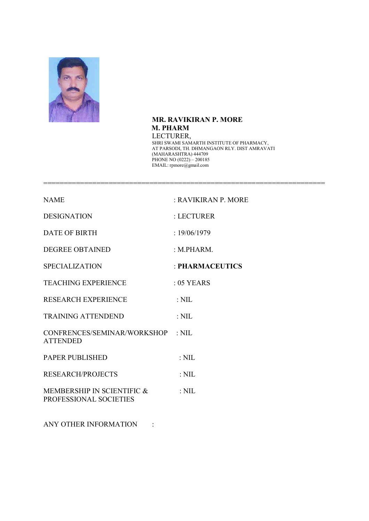

## MR. RAVIKIRAN P. MORE M. PHARM LECTURER,

=====================================================================

 SHRI SWAMI SAMARTH INSTITUTE OF PHARMACY, AT PARSODI, TH. DHMANGAON RLY. DIST AMRAVATI (MAHARASHTRA) 444709 PHONE NO (0222) – 200185 EMAIL: rpmore@gmail.com

| <b>NAME</b>                                          | : RAVIKIRAN P. MORE |
|------------------------------------------------------|---------------------|
| <b>DESIGNATION</b>                                   | : LECTURER          |
| <b>DATE OF BIRTH</b>                                 | : 19/06/1979        |
| <b>DEGREE OBTAINED</b>                               | : M.PHARM.          |
| <b>SPECIALIZATION</b>                                | : PHARMACEUTICS     |
| <b>TEACHING EXPERIENCE</b>                           | $: 05$ YEARS        |
| <b>RESEARCH EXPERIENCE</b>                           | $: \mathrm{NIL}$    |
| <b>TRAINING ATTENDEND</b>                            | $:$ NIL             |
| CONFRENCES/SEMINAR/WORKSHOP : NIL<br><b>ATTENDED</b> |                     |
| <b>PAPER PUBLISHED</b>                               | $:$ NIL             |
| <b>RESEARCH/PROJECTS</b>                             | $:$ NIL             |
| MEMBERSHIP IN SCIENTIFIC &<br>PROFESSIONAL SOCIETIES | $:$ NIL             |
|                                                      |                     |

ANY OTHER INFORMATION :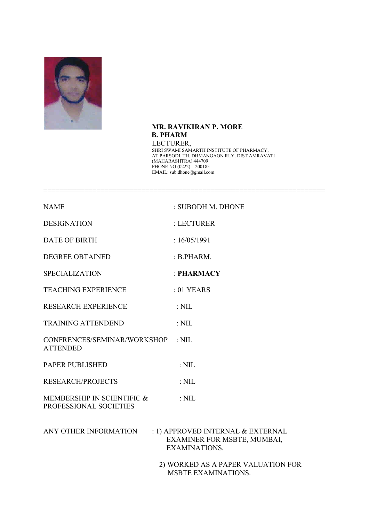

 MR. RAVIKIRAN P. MORE B. PHARM LECTURER, SHRI SWAMI SAMARTH INSTITUTE OF PHARMACY, AT PARSODI, TH. DHMANGAON RLY. DIST AMRAVATI (MAHARASHTRA) 444709 PHONE NO (0222) – 200185 EMAIL: sub.dhone@gmail.com

=====================================================================

| <b>NAME</b>                                          | : SUBODH M. DHONE                                                                        |
|------------------------------------------------------|------------------------------------------------------------------------------------------|
| <b>DESIGNATION</b>                                   | : LECTURER                                                                               |
| <b>DATE OF BIRTH</b>                                 | :16/05/1991                                                                              |
| <b>DEGREE OBTAINED</b>                               | B.PHARM.                                                                                 |
| <b>SPECIALIZATION</b>                                | : PHARMACY                                                                               |
| <b>TEACHING EXPERIENCE</b>                           | $:01$ YEARS                                                                              |
| <b>RESEARCH EXPERIENCE</b>                           | $:$ NIL                                                                                  |
| <b>TRAINING ATTENDEND</b>                            | $:$ NIL                                                                                  |
| CONFRENCES/SEMINAR/WORKSHOP<br><b>ATTENDED</b>       | $:$ NIL                                                                                  |
| PAPER PUBLISHED                                      | $:$ NIL                                                                                  |
| <b>RESEARCH/PROJECTS</b>                             | $:$ NIL                                                                                  |
| MEMBERSHIP IN SCIENTIFIC &<br>PROFESSIONAL SOCIETIES | $:$ NIL                                                                                  |
| ANY OTHER INFORMATION                                | : 1) APPROVED INTERNAL & EXTERNAL<br>EXAMINER FOR MSBTE, MUMBAI,<br><b>EXAMINATIONS.</b> |
|                                                      | 2) WORKED AS A PAPER VALUATION FOR<br><b>MSBTE EXAMINATIONS.</b>                         |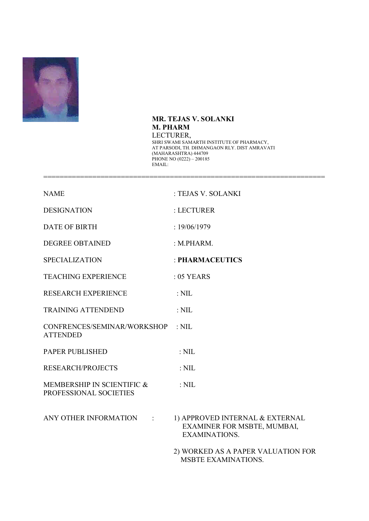

## MR. TEJAS V. SOLANKI M. PHARM LECTURER, SHRI SWAMI SAMARTH INSTITUTE OF PHARMACY,

=====================================================================

 AT PARSODI, TH. DHMANGAON RLY. DIST AMRAVATI (MAHARASHTRA) 444709 PHONE NO (0222) – 200185 EMAIL:

| <b>NAME</b>                                          | : TEJAS V. SOLANKI                                                                     |
|------------------------------------------------------|----------------------------------------------------------------------------------------|
| <b>DESIGNATION</b>                                   | : LECTURER                                                                             |
| <b>DATE OF BIRTH</b>                                 | : 19/06/1979                                                                           |
| <b>DEGREE OBTAINED</b>                               | : M.PHARM.                                                                             |
| <b>SPECIALIZATION</b>                                | : PHARMACEUTICS                                                                        |
| <b>TEACHING EXPERIENCE</b>                           | $: 05$ YEARS                                                                           |
| <b>RESEARCH EXPERIENCE</b>                           | $:$ NIL                                                                                |
| <b>TRAINING ATTENDEND</b>                            | $:$ NIL                                                                                |
| CONFRENCES/SEMINAR/WORKSHOP<br><b>ATTENDED</b>       | $:$ NIL                                                                                |
| <b>PAPER PUBLISHED</b>                               | $:$ NIL                                                                                |
| <b>RESEARCH/PROJECTS</b>                             | $:$ NIL                                                                                |
| MEMBERSHIP IN SCIENTIFIC &<br>PROFESSIONAL SOCIETIES | $:$ NIL                                                                                |
| ANY OTHER INFORMATION<br>$\mathbb{R}^{\mathbb{Z}}$   | 1) APPROVED INTERNAL & EXTERNAL<br>EXAMINER FOR MSBTE, MUMBAI,<br><b>EXAMINATIONS.</b> |
|                                                      | 2) WORKED AS A PAPER VALUATION FOR                                                     |

MSBTE EXAMINATIONS.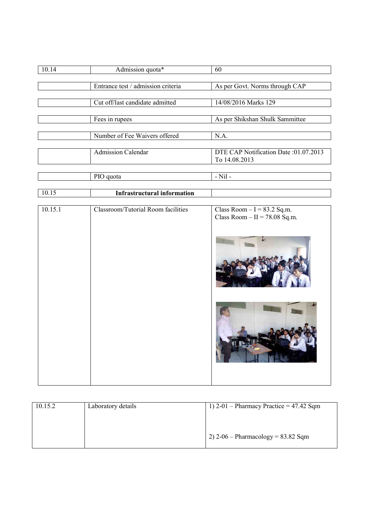| 10.14 | Admission quota*                   | 60                                    |
|-------|------------------------------------|---------------------------------------|
|       |                                    |                                       |
|       | Entrance test / admission criteria | As per Govt. Norms through CAP        |
|       |                                    |                                       |
|       | Cut off/last candidate admitted    | 14/08/2016 Marks 129                  |
|       |                                    |                                       |
|       | Fees in rupees                     | As per Shikshan Shulk Sammittee       |
|       |                                    |                                       |
|       | Number of Fee Waivers offered      | N.A.                                  |
|       |                                    |                                       |
|       | <b>Admission Calendar</b>          | DTE CAP Notification Date: 01.07.2013 |
|       |                                    | To 14.08.2013                         |
|       |                                    |                                       |
|       | PIO quota                          | $-Nil$ -                              |
|       |                                    |                                       |

| <b>Infrastructural information</b> |                                                                 |
|------------------------------------|-----------------------------------------------------------------|
|                                    |                                                                 |
| Classroom/Tutorial Room facilities | Class Room $-I = 83.2$ Sq.m.<br>Class Room $-$ II = 78.08 Sq.m. |
|                                    |                                                                 |
|                                    |                                                                 |
|                                    |                                                                 |

| 10.15.2 | Laboratory details | 1) $2-01$ – Pharmacy Practice = 47.42 Sqm  |
|---------|--------------------|--------------------------------------------|
|         |                    |                                            |
|         |                    |                                            |
|         |                    | $\vert$ 2) 2-06 – Pharmacology = 83.82 Sqm |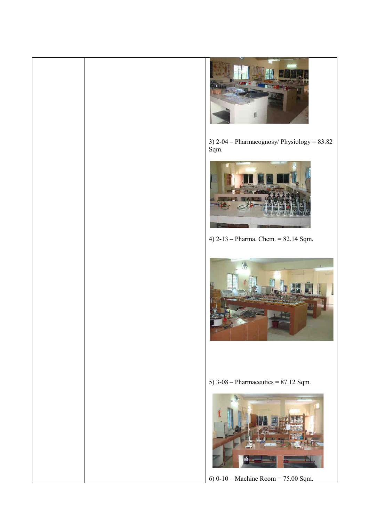

3) 2-04 – Pharmacognosy/ Physiology = 83.82 Sqm.



4) 2-13 – Pharma. Chem. = 82.14 Sqm.



5)  $3-08$  – Pharmaceutics = 87.12 Sqm.



6) 0-10 – Machine Room = 75.00 Sqm.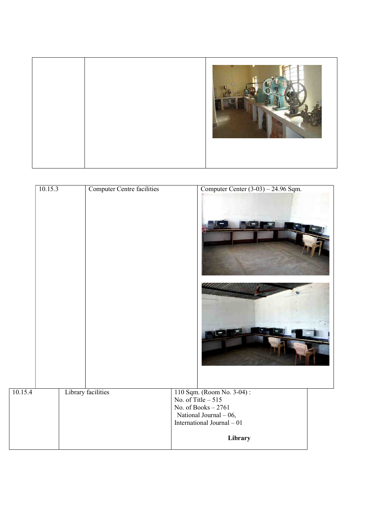

| 10.15.3 | <b>Computer Centre facilities</b> | Computer Center $(3-03) - 24.96$ Sqm.                                                                                                        |  |
|---------|-----------------------------------|----------------------------------------------------------------------------------------------------------------------------------------------|--|
|         |                                   |                                                                                                                                              |  |
| 10.15.4 | Library facilities                | 110 Sqm. (Room No. 3-04):<br>No. of Title – 515<br>No. of Books $-2761$<br>National Journal $-06$ ,<br>International Journal - 01<br>Library |  |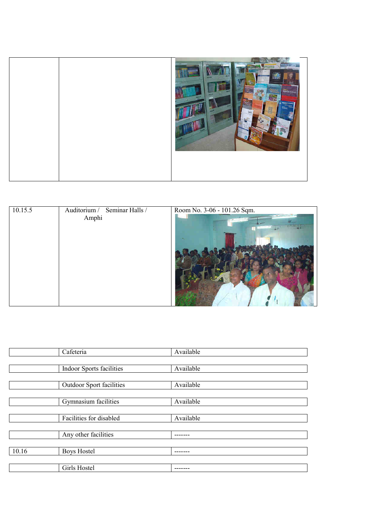|--|--|--|

| 10.15.5 | Auditorium / Seminar Halls / | Room No. 3-06 - 101.26 Sqm. |
|---------|------------------------------|-----------------------------|
|         | Amphi                        |                             |
|         |                              |                             |

|       | Cafeteria<br>Available   |           |
|-------|--------------------------|-----------|
|       |                          |           |
|       | Indoor Sports facilities | Available |
|       |                          |           |
|       | Outdoor Sport facilities | Available |
|       |                          |           |
|       | Gymnasium facilities     | Available |
|       |                          |           |
|       | Facilities for disabled  | Available |
|       |                          |           |
|       | Any other facilities     |           |
|       |                          |           |
| 10.16 | <b>Boys Hostel</b>       |           |
|       |                          |           |
|       | Girls Hostel             |           |
|       |                          |           |